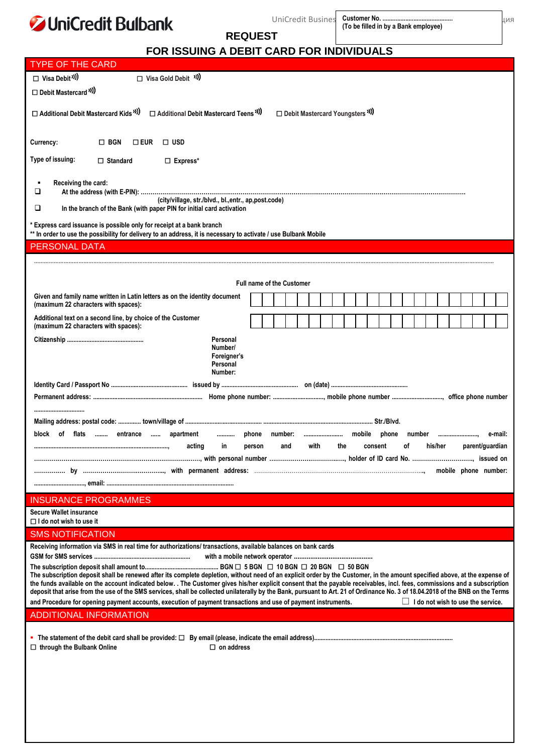#### **JUniC**  $\mathbf{m}$  $\overline{a}$  $\overline{a}$

| <b>JUniCredit Bulbank</b>                                                                                                                                                                                                                                                                                                                                                                                                                                                                                                                   |                                                           |                                  | UniCredit Busines                            |      |     |         |  |    | (To be filled in by a Bank employee) |         |  |                                          | ЦИЯ |
|---------------------------------------------------------------------------------------------------------------------------------------------------------------------------------------------------------------------------------------------------------------------------------------------------------------------------------------------------------------------------------------------------------------------------------------------------------------------------------------------------------------------------------------------|-----------------------------------------------------------|----------------------------------|----------------------------------------------|------|-----|---------|--|----|--------------------------------------|---------|--|------------------------------------------|-----|
|                                                                                                                                                                                                                                                                                                                                                                                                                                                                                                                                             |                                                           | <b>REQUEST</b>                   |                                              |      |     |         |  |    |                                      |         |  |                                          |     |
| FOR ISSUING A DEBIT CARD FOR INDIVIDUALS                                                                                                                                                                                                                                                                                                                                                                                                                                                                                                    |                                                           |                                  |                                              |      |     |         |  |    |                                      |         |  |                                          |     |
| TYPE OF THE CARD                                                                                                                                                                                                                                                                                                                                                                                                                                                                                                                            |                                                           |                                  |                                              |      |     |         |  |    |                                      |         |  |                                          |     |
| $\Box$ Visa Debit <sup>31</sup> )<br>□ Visa Gold Debit <sup>1)</sup><br>□ Debit Mastercard <sup>"</sup> )                                                                                                                                                                                                                                                                                                                                                                                                                                   |                                                           |                                  |                                              |      |     |         |  |    |                                      |         |  |                                          |     |
| □ Additional Debit Mastercard Kids <sup>11</sup> )<br>Additional Debit Mastercard Teens <sup>"</sup> )                                                                                                                                                                                                                                                                                                                                                                                                                                      |                                                           |                                  | □ Debit Mastercard Youngsters <sup>3</sup> ) |      |     |         |  |    |                                      |         |  |                                          |     |
| $\Box$ BGN<br>$\square$ USD<br>Currency:<br>$\square$ EUR                                                                                                                                                                                                                                                                                                                                                                                                                                                                                   |                                                           |                                  |                                              |      |     |         |  |    |                                      |         |  |                                          |     |
| Type of issuing:<br>$\Box$ Express*<br>$\Box$ Standard                                                                                                                                                                                                                                                                                                                                                                                                                                                                                      |                                                           |                                  |                                              |      |     |         |  |    |                                      |         |  |                                          |     |
| Receiving the card:<br>o                                                                                                                                                                                                                                                                                                                                                                                                                                                                                                                    |                                                           |                                  |                                              |      |     |         |  |    |                                      |         |  |                                          |     |
| (city/village, str./blvd., bl., entr., ap, post.code)<br>❏<br>In the branch of the Bank (with paper PIN for initial card activation                                                                                                                                                                                                                                                                                                                                                                                                         |                                                           |                                  |                                              |      |     |         |  |    |                                      |         |  |                                          |     |
| * Express card issuance is possible only for receipt at a bank branch<br>** In order to use the possibility for delivery to an address, it is necessary to activate / use Bulbank Mobile                                                                                                                                                                                                                                                                                                                                                    |                                                           |                                  |                                              |      |     |         |  |    |                                      |         |  |                                          |     |
| PERSONAL DATA                                                                                                                                                                                                                                                                                                                                                                                                                                                                                                                               |                                                           |                                  |                                              |      |     |         |  |    |                                      |         |  |                                          |     |
|                                                                                                                                                                                                                                                                                                                                                                                                                                                                                                                                             |                                                           |                                  |                                              |      |     |         |  |    |                                      |         |  |                                          |     |
|                                                                                                                                                                                                                                                                                                                                                                                                                                                                                                                                             |                                                           | <b>Full name of the Customer</b> |                                              |      |     |         |  |    |                                      |         |  |                                          |     |
| Given and family name written in Latin letters as on the identity document<br>(maximum 22 characters with spaces):                                                                                                                                                                                                                                                                                                                                                                                                                          |                                                           |                                  |                                              |      |     |         |  |    |                                      |         |  |                                          |     |
| Additional text on a second line, by choice of the Customer<br>(maximum 22 characters with spaces):                                                                                                                                                                                                                                                                                                                                                                                                                                         |                                                           |                                  |                                              |      |     |         |  |    |                                      |         |  |                                          |     |
|                                                                                                                                                                                                                                                                                                                                                                                                                                                                                                                                             | Personal<br>Number/<br>Foreigner's<br>Personal<br>Number: |                                  |                                              |      |     |         |  |    |                                      |         |  |                                          |     |
|                                                                                                                                                                                                                                                                                                                                                                                                                                                                                                                                             |                                                           |                                  |                                              |      |     |         |  |    |                                      |         |  |                                          |     |
|                                                                                                                                                                                                                                                                                                                                                                                                                                                                                                                                             |                                                           |                                  |                                              |      |     |         |  |    |                                      |         |  |                                          |     |
|                                                                                                                                                                                                                                                                                                                                                                                                                                                                                                                                             |                                                           |                                  |                                              |      |     |         |  |    |                                      |         |  |                                          |     |
| block of flats  entrance  apartment                                                                                                                                                                                                                                                                                                                                                                                                                                                                                                         | phone  number:    mobile  phone                           |                                  |                                              |      |     |         |  |    |                                      |         |  | e-mail:                                  |     |
| acting                                                                                                                                                                                                                                                                                                                                                                                                                                                                                                                                      | in                                                        | person                           | and                                          | with | the | consent |  | οf |                                      | his/her |  | parent/guardian                          |     |
|                                                                                                                                                                                                                                                                                                                                                                                                                                                                                                                                             |                                                           |                                  |                                              |      |     |         |  |    |                                      |         |  |                                          |     |
|                                                                                                                                                                                                                                                                                                                                                                                                                                                                                                                                             |                                                           |                                  |                                              |      |     |         |  |    |                                      |         |  |                                          |     |
|                                                                                                                                                                                                                                                                                                                                                                                                                                                                                                                                             |                                                           |                                  |                                              |      |     |         |  |    |                                      |         |  |                                          |     |
| <b>INSURANCE PROGRAMMES</b><br><b>Secure Wallet insurance</b>                                                                                                                                                                                                                                                                                                                                                                                                                                                                               |                                                           |                                  |                                              |      |     |         |  |    |                                      |         |  |                                          |     |
| $\Box$ I do not wish to use it                                                                                                                                                                                                                                                                                                                                                                                                                                                                                                              |                                                           |                                  |                                              |      |     |         |  |    |                                      |         |  |                                          |     |
| SMS NOTIFICATION                                                                                                                                                                                                                                                                                                                                                                                                                                                                                                                            |                                                           |                                  |                                              |      |     |         |  |    |                                      |         |  |                                          |     |
| Receiving information via SMS in real time for authorizations/ transactions, available balances on bank cards                                                                                                                                                                                                                                                                                                                                                                                                                               |                                                           |                                  |                                              |      |     |         |  |    |                                      |         |  |                                          |     |
|                                                                                                                                                                                                                                                                                                                                                                                                                                                                                                                                             |                                                           |                                  |                                              |      |     |         |  |    |                                      |         |  |                                          |     |
| The subscription deposit shall be renewed after its complete depletion, without need of an explicit order by the Customer, in the amount specified above, at the expense of<br>the funds available on the account indicated below. . The Customer gives his/her explicit consent that the payable receivables, incl. fees, commissions and a subscription<br>deposit that arise from the use of the SMS services, shall be collected unilaterally by the Bank, pursuant to Art. 21 of Ordinance No. 3 of 18.04.2018 of the BNB on the Terms |                                                           |                                  |                                              |      |     |         |  |    |                                      |         |  |                                          |     |
| and Procedure for opening payment accounts, execution of payment transactions and use of payment instruments.                                                                                                                                                                                                                                                                                                                                                                                                                               |                                                           |                                  |                                              |      |     |         |  |    |                                      |         |  | $\Box$ I do not wish to use the service. |     |
| ADDITIONAL INFORMATION                                                                                                                                                                                                                                                                                                                                                                                                                                                                                                                      |                                                           |                                  |                                              |      |     |         |  |    |                                      |         |  |                                          |     |
| $\Box$ through the Bulbank Online                                                                                                                                                                                                                                                                                                                                                                                                                                                                                                           | $\square$ on address                                      |                                  |                                              |      |     |         |  |    |                                      |         |  |                                          |     |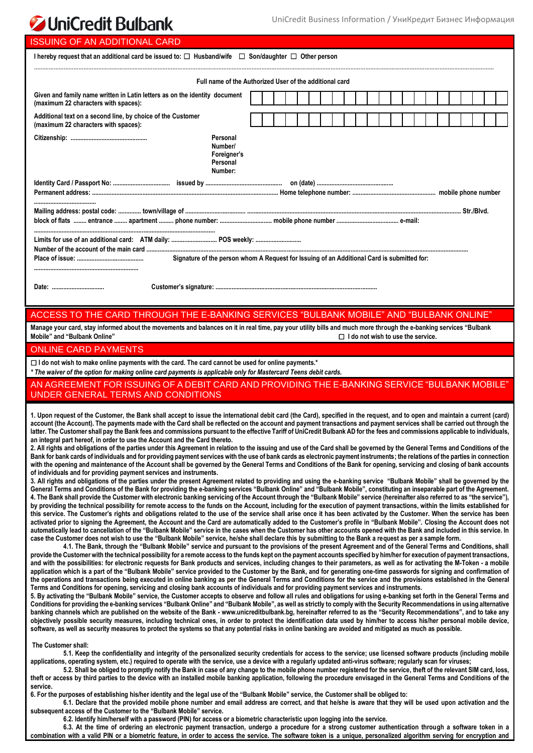# **JUniCredit Bulbank**

| <b>ISSUING OF AN ADDITIONAL CARD</b>                                                                                                                                                                                                                                                                                                                                                                                                                                                                                                                                                                                                                                                                                                                                                                                                                                                                                                                                                                                                                                                                                                                                                                                                                                                                                                                                                                                                                                                                                                                                                                                                                                                                                                                                                                                                                                                                                                                                                                                                                                                                                                                                                                                                                                                                                                                                                                                                                                                                                                                                                                                                                                                                                                                                                                                                                                                                                                                                                                                                                                                                                                                                                                                                                                                                                                                                                                                                                                                                                                                                                                                                                                                                                                                                                                                                                                                                                                                                                                                                                                                                                                                                                                                                                                                                                                                                                                                                                                                                                                                                                                                                                                                                                                                                    |  |  |  |  |  |  |  |  |  |  |  |  |  |  |  |
|-------------------------------------------------------------------------------------------------------------------------------------------------------------------------------------------------------------------------------------------------------------------------------------------------------------------------------------------------------------------------------------------------------------------------------------------------------------------------------------------------------------------------------------------------------------------------------------------------------------------------------------------------------------------------------------------------------------------------------------------------------------------------------------------------------------------------------------------------------------------------------------------------------------------------------------------------------------------------------------------------------------------------------------------------------------------------------------------------------------------------------------------------------------------------------------------------------------------------------------------------------------------------------------------------------------------------------------------------------------------------------------------------------------------------------------------------------------------------------------------------------------------------------------------------------------------------------------------------------------------------------------------------------------------------------------------------------------------------------------------------------------------------------------------------------------------------------------------------------------------------------------------------------------------------------------------------------------------------------------------------------------------------------------------------------------------------------------------------------------------------------------------------------------------------------------------------------------------------------------------------------------------------------------------------------------------------------------------------------------------------------------------------------------------------------------------------------------------------------------------------------------------------------------------------------------------------------------------------------------------------------------------------------------------------------------------------------------------------------------------------------------------------------------------------------------------------------------------------------------------------------------------------------------------------------------------------------------------------------------------------------------------------------------------------------------------------------------------------------------------------------------------------------------------------------------------------------------------------------------------------------------------------------------------------------------------------------------------------------------------------------------------------------------------------------------------------------------------------------------------------------------------------------------------------------------------------------------------------------------------------------------------------------------------------------------------------------------------------------------------------------------------------------------------------------------------------------------------------------------------------------------------------------------------------------------------------------------------------------------------------------------------------------------------------------------------------------------------------------------------------------------------------------------------------------------------------------------------------------------------------------------------------------------------------------------------------------------------------------------------------------------------------------------------------------------------------------------------------------------------------------------------------------------------------------------------------------------------------------------------------------------------------------------------------------------------------------------------------------------------------------------------------|--|--|--|--|--|--|--|--|--|--|--|--|--|--|--|
| I hereby request that an additional card be issued to: $\Box$ Husband/wife $\Box$ Son/daughter $\Box$ Other person                                                                                                                                                                                                                                                                                                                                                                                                                                                                                                                                                                                                                                                                                                                                                                                                                                                                                                                                                                                                                                                                                                                                                                                                                                                                                                                                                                                                                                                                                                                                                                                                                                                                                                                                                                                                                                                                                                                                                                                                                                                                                                                                                                                                                                                                                                                                                                                                                                                                                                                                                                                                                                                                                                                                                                                                                                                                                                                                                                                                                                                                                                                                                                                                                                                                                                                                                                                                                                                                                                                                                                                                                                                                                                                                                                                                                                                                                                                                                                                                                                                                                                                                                                                                                                                                                                                                                                                                                                                                                                                                                                                                                                                      |  |  |  |  |  |  |  |  |  |  |  |  |  |  |  |
| Full name of the Authorized User of the additional card                                                                                                                                                                                                                                                                                                                                                                                                                                                                                                                                                                                                                                                                                                                                                                                                                                                                                                                                                                                                                                                                                                                                                                                                                                                                                                                                                                                                                                                                                                                                                                                                                                                                                                                                                                                                                                                                                                                                                                                                                                                                                                                                                                                                                                                                                                                                                                                                                                                                                                                                                                                                                                                                                                                                                                                                                                                                                                                                                                                                                                                                                                                                                                                                                                                                                                                                                                                                                                                                                                                                                                                                                                                                                                                                                                                                                                                                                                                                                                                                                                                                                                                                                                                                                                                                                                                                                                                                                                                                                                                                                                                                                                                                                                                 |  |  |  |  |  |  |  |  |  |  |  |  |  |  |  |
| Given and family name written in Latin letters as on the identity document<br>(maximum 22 characters with spaces):                                                                                                                                                                                                                                                                                                                                                                                                                                                                                                                                                                                                                                                                                                                                                                                                                                                                                                                                                                                                                                                                                                                                                                                                                                                                                                                                                                                                                                                                                                                                                                                                                                                                                                                                                                                                                                                                                                                                                                                                                                                                                                                                                                                                                                                                                                                                                                                                                                                                                                                                                                                                                                                                                                                                                                                                                                                                                                                                                                                                                                                                                                                                                                                                                                                                                                                                                                                                                                                                                                                                                                                                                                                                                                                                                                                                                                                                                                                                                                                                                                                                                                                                                                                                                                                                                                                                                                                                                                                                                                                                                                                                                                                      |  |  |  |  |  |  |  |  |  |  |  |  |  |  |  |
| Additional text on a second line, by choice of the Customer<br>(maximum 22 characters with spaces):                                                                                                                                                                                                                                                                                                                                                                                                                                                                                                                                                                                                                                                                                                                                                                                                                                                                                                                                                                                                                                                                                                                                                                                                                                                                                                                                                                                                                                                                                                                                                                                                                                                                                                                                                                                                                                                                                                                                                                                                                                                                                                                                                                                                                                                                                                                                                                                                                                                                                                                                                                                                                                                                                                                                                                                                                                                                                                                                                                                                                                                                                                                                                                                                                                                                                                                                                                                                                                                                                                                                                                                                                                                                                                                                                                                                                                                                                                                                                                                                                                                                                                                                                                                                                                                                                                                                                                                                                                                                                                                                                                                                                                                                     |  |  |  |  |  |  |  |  |  |  |  |  |  |  |  |
| Personal<br>Number/<br>Foreigner's<br>Personal<br>Number:                                                                                                                                                                                                                                                                                                                                                                                                                                                                                                                                                                                                                                                                                                                                                                                                                                                                                                                                                                                                                                                                                                                                                                                                                                                                                                                                                                                                                                                                                                                                                                                                                                                                                                                                                                                                                                                                                                                                                                                                                                                                                                                                                                                                                                                                                                                                                                                                                                                                                                                                                                                                                                                                                                                                                                                                                                                                                                                                                                                                                                                                                                                                                                                                                                                                                                                                                                                                                                                                                                                                                                                                                                                                                                                                                                                                                                                                                                                                                                                                                                                                                                                                                                                                                                                                                                                                                                                                                                                                                                                                                                                                                                                                                                               |  |  |  |  |  |  |  |  |  |  |  |  |  |  |  |
|                                                                                                                                                                                                                                                                                                                                                                                                                                                                                                                                                                                                                                                                                                                                                                                                                                                                                                                                                                                                                                                                                                                                                                                                                                                                                                                                                                                                                                                                                                                                                                                                                                                                                                                                                                                                                                                                                                                                                                                                                                                                                                                                                                                                                                                                                                                                                                                                                                                                                                                                                                                                                                                                                                                                                                                                                                                                                                                                                                                                                                                                                                                                                                                                                                                                                                                                                                                                                                                                                                                                                                                                                                                                                                                                                                                                                                                                                                                                                                                                                                                                                                                                                                                                                                                                                                                                                                                                                                                                                                                                                                                                                                                                                                                                                                         |  |  |  |  |  |  |  |  |  |  |  |  |  |  |  |
| Limits for use of an additional card: ATM daily:  POS weekly:<br>Signature of the person whom A Request for Issuing of an Additional Card is submitted for:                                                                                                                                                                                                                                                                                                                                                                                                                                                                                                                                                                                                                                                                                                                                                                                                                                                                                                                                                                                                                                                                                                                                                                                                                                                                                                                                                                                                                                                                                                                                                                                                                                                                                                                                                                                                                                                                                                                                                                                                                                                                                                                                                                                                                                                                                                                                                                                                                                                                                                                                                                                                                                                                                                                                                                                                                                                                                                                                                                                                                                                                                                                                                                                                                                                                                                                                                                                                                                                                                                                                                                                                                                                                                                                                                                                                                                                                                                                                                                                                                                                                                                                                                                                                                                                                                                                                                                                                                                                                                                                                                                                                             |  |  |  |  |  |  |  |  |  |  |  |  |  |  |  |
|                                                                                                                                                                                                                                                                                                                                                                                                                                                                                                                                                                                                                                                                                                                                                                                                                                                                                                                                                                                                                                                                                                                                                                                                                                                                                                                                                                                                                                                                                                                                                                                                                                                                                                                                                                                                                                                                                                                                                                                                                                                                                                                                                                                                                                                                                                                                                                                                                                                                                                                                                                                                                                                                                                                                                                                                                                                                                                                                                                                                                                                                                                                                                                                                                                                                                                                                                                                                                                                                                                                                                                                                                                                                                                                                                                                                                                                                                                                                                                                                                                                                                                                                                                                                                                                                                                                                                                                                                                                                                                                                                                                                                                                                                                                                                                         |  |  |  |  |  |  |  |  |  |  |  |  |  |  |  |
|                                                                                                                                                                                                                                                                                                                                                                                                                                                                                                                                                                                                                                                                                                                                                                                                                                                                                                                                                                                                                                                                                                                                                                                                                                                                                                                                                                                                                                                                                                                                                                                                                                                                                                                                                                                                                                                                                                                                                                                                                                                                                                                                                                                                                                                                                                                                                                                                                                                                                                                                                                                                                                                                                                                                                                                                                                                                                                                                                                                                                                                                                                                                                                                                                                                                                                                                                                                                                                                                                                                                                                                                                                                                                                                                                                                                                                                                                                                                                                                                                                                                                                                                                                                                                                                                                                                                                                                                                                                                                                                                                                                                                                                                                                                                                                         |  |  |  |  |  |  |  |  |  |  |  |  |  |  |  |
| ACCESS TO THE CARD THROUGH THE E-BANKING SERVICES "BULBANK MOBILE" AND "BULBANK ONLINE"<br>Manage your card, stay informed about the movements and balances on it in real time, pay your utility bills and much more through the e-banking services "Bulbank<br>Mobile" and "Bulbank Online"<br>$\Box$ I do not wish to use the service.                                                                                                                                                                                                                                                                                                                                                                                                                                                                                                                                                                                                                                                                                                                                                                                                                                                                                                                                                                                                                                                                                                                                                                                                                                                                                                                                                                                                                                                                                                                                                                                                                                                                                                                                                                                                                                                                                                                                                                                                                                                                                                                                                                                                                                                                                                                                                                                                                                                                                                                                                                                                                                                                                                                                                                                                                                                                                                                                                                                                                                                                                                                                                                                                                                                                                                                                                                                                                                                                                                                                                                                                                                                                                                                                                                                                                                                                                                                                                                                                                                                                                                                                                                                                                                                                                                                                                                                                                                |  |  |  |  |  |  |  |  |  |  |  |  |  |  |  |
| <b>ONLINE CARD PAYMENTS</b>                                                                                                                                                                                                                                                                                                                                                                                                                                                                                                                                                                                                                                                                                                                                                                                                                                                                                                                                                                                                                                                                                                                                                                                                                                                                                                                                                                                                                                                                                                                                                                                                                                                                                                                                                                                                                                                                                                                                                                                                                                                                                                                                                                                                                                                                                                                                                                                                                                                                                                                                                                                                                                                                                                                                                                                                                                                                                                                                                                                                                                                                                                                                                                                                                                                                                                                                                                                                                                                                                                                                                                                                                                                                                                                                                                                                                                                                                                                                                                                                                                                                                                                                                                                                                                                                                                                                                                                                                                                                                                                                                                                                                                                                                                                                             |  |  |  |  |  |  |  |  |  |  |  |  |  |  |  |
| $\Box$ I do not wish to make online payments with the card. The card cannot be used for online payments.*<br>* The waiver of the option for making online card payments is applicable only for Mastercard Teens debit cards.                                                                                                                                                                                                                                                                                                                                                                                                                                                                                                                                                                                                                                                                                                                                                                                                                                                                                                                                                                                                                                                                                                                                                                                                                                                                                                                                                                                                                                                                                                                                                                                                                                                                                                                                                                                                                                                                                                                                                                                                                                                                                                                                                                                                                                                                                                                                                                                                                                                                                                                                                                                                                                                                                                                                                                                                                                                                                                                                                                                                                                                                                                                                                                                                                                                                                                                                                                                                                                                                                                                                                                                                                                                                                                                                                                                                                                                                                                                                                                                                                                                                                                                                                                                                                                                                                                                                                                                                                                                                                                                                            |  |  |  |  |  |  |  |  |  |  |  |  |  |  |  |
| AN AGREEMENT FOR ISSUING OF A DEBIT CARD AND PROVIDING THE E-BANKING SERVICE "BULBANK MOBILE"<br>UNDER GENERAL TERMS AND CONDITIONS                                                                                                                                                                                                                                                                                                                                                                                                                                                                                                                                                                                                                                                                                                                                                                                                                                                                                                                                                                                                                                                                                                                                                                                                                                                                                                                                                                                                                                                                                                                                                                                                                                                                                                                                                                                                                                                                                                                                                                                                                                                                                                                                                                                                                                                                                                                                                                                                                                                                                                                                                                                                                                                                                                                                                                                                                                                                                                                                                                                                                                                                                                                                                                                                                                                                                                                                                                                                                                                                                                                                                                                                                                                                                                                                                                                                                                                                                                                                                                                                                                                                                                                                                                                                                                                                                                                                                                                                                                                                                                                                                                                                                                     |  |  |  |  |  |  |  |  |  |  |  |  |  |  |  |
| 1. Upon request of the Customer, the Bank shall accept to issue the international debit card (the Card), specified in the request, and to open and maintain a current (card)<br>account (the Account). The payments made with the Card shall be reflected on the account and payment transactions and payment services shall be carried out through the<br>latter. The Customer shall pay the Bank fees and commissions pursuant to the effective Tariff of UniCredit Bulbank AD for the fees and commissions applicable to individuals,<br>an integral part hereof, in order to use the Account and the Card thereto.<br>2. All rights and obligations of the parties under this Agreement in relation to the issuing and use of the Card shall be governed by the General Terms and Conditions of the<br>Bank for bank cards of individuals and for providing payment services with the use of bank cards as electronic payment instruments; the relations of the parties in connection<br>with the opening and maintenance of the Account shall be governed by the General Terms and Conditions of the Bank for opening, servicing and closing of bank accounts<br>of individuals and for providing payment services and instruments.<br>3. All rights and obligations of the parties under the present Agreement related to providing and using the e-banking service "Bulbank Mobile" shall be governed by the<br>General Terms and Conditions of the Bank for providing the e-banking services "Bulbank Online" and "Bulbank Mobile", constituting an inseparable part of the Agreement.<br>4. The Bank shall provide the Customer with electronic banking servicing of the Account through the "Bulbank Mobile" service (hereinafter also referred to as "the service"),<br>by providing the technical possibility for remote access to the funds on the Account, including for the execution of payment transactions, within the limits established for<br>this service. The Customer's rights and obligations related to the use of the service shall arise once it has been activated by the Customer. When the service has been<br>activated prior to signing the Agreement, the Account and the Card are automatically added to the Customer's profile in "Bulbank Mobile". Closing the Account does not<br>automatically lead to cancellation of the "Bulbank Mobile" service in the cases when the Customer has other accounts opened with the Bank and included in this service. In<br>case the Customer does not wish to use the "Bulbank Mobile" service, he/she shall declare this by submitting to the Bank a request as per a sample form.<br>4.1. The Bank, through the "Bulbank Mobile" service and pursuant to the provisions of the present Agreement and of the General Terms and Conditions, shall<br>provide the Customer with the technical possibility for a remote access to the funds kept on the payment accounts specified by him/her for execution of payment transactions,<br>and with the possibilities: for electronic requests for Bank products and services, including changes to their parameters, as well as for activating the M-Token - a mobile<br>application which is a part of the "Bulbank Mobile" service provided to the Customer by the Bank, and for generating one-time passwords for signing and confirmation of<br>the operations and transactions being executed in online banking as per the General Terms and Conditions for the service and the provisions established in the General<br>Terms and Conditions for opening, servicing and closing bank accounts of individuals and for providing payment services and instruments.<br>5. By activating the "Bulbank Mobile" service, the Customer accepts to observe and follow all rules and obligations for using e-banking set forth in the General Terms and<br>Conditions for providing the e-banking services "Bulbank Online" and "Bulbank Mobile", as well as strictly to comply with the Security Recommendations in using alternative<br>banking channels which are published on the website of the Bank - www.unicreditbulbank.bg, hereinafter referred to as the "Security Recommendations", and to take any<br>objectively possible security measures, including technical ones, in order to protect the identification data used by him/her to access his/her personal mobile device,<br>software, as well as security measures to protect the systems so that any potential risks in online banking are avoided and mitigated as much as possible.<br>The Customer shall:<br>5.1. Keep the confidentiality and integrity of the personalized security credentials for access to the service; use licensed software products (including mobile |  |  |  |  |  |  |  |  |  |  |  |  |  |  |  |
| applications, operating system, etc.) required to operate with the service, use a device with a regularly updated anti-virus software; regularly scan for viruses;                                                                                                                                                                                                                                                                                                                                                                                                                                                                                                                                                                                                                                                                                                                                                                                                                                                                                                                                                                                                                                                                                                                                                                                                                                                                                                                                                                                                                                                                                                                                                                                                                                                                                                                                                                                                                                                                                                                                                                                                                                                                                                                                                                                                                                                                                                                                                                                                                                                                                                                                                                                                                                                                                                                                                                                                                                                                                                                                                                                                                                                                                                                                                                                                                                                                                                                                                                                                                                                                                                                                                                                                                                                                                                                                                                                                                                                                                                                                                                                                                                                                                                                                                                                                                                                                                                                                                                                                                                                                                                                                                                                                      |  |  |  |  |  |  |  |  |  |  |  |  |  |  |  |

**5.2. Shall be obliged to promptly notify the Bank in case of any change to the mobile phone number registered for the service, theft of the relevant SIM card, loss, theft or access by third parties to the device with an installed mobile banking application, following the procedure envisaged in the General Terms and Conditions of the service.**

**6. For the purposes of establishing his/her identity and the legal use of the "Bulbank Mobile" service, the Customer shall be obliged to:**

6.1. Declare that the provided mobile phone number and email address are correct, and that he/she is aware that they will be used upon activation and the **subsequent access of the Customer to the "Bulbank Mobile" service.**

**6.2. Identify him/herself with a password (PIN) for access or a biometric characteristic upon logging into the service.**

**6.3. At the time of ordering an electronic payment transaction, undergo a procedure for a strong customer authentication through a software token in a combination with a valid PIN or a biometric feature, in order to access the service. The software token is a unique, personalized algorithm serving for encryption and**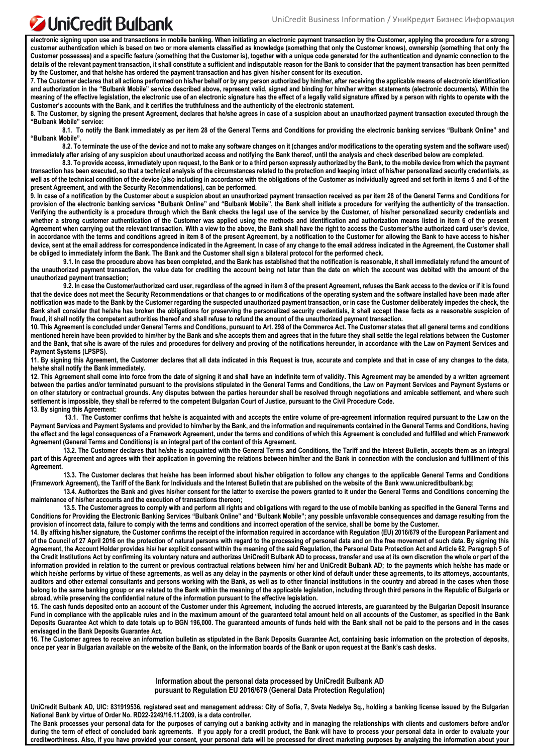### **JuniCredit Bulbank**

**electronic signing upon use and transactions in mobile banking. When initiating an electronic payment transaction by the Customer, applying the procedure for a strong customer authentication which is based on two or more elements classified as knowledge (something that only the Customer knows), ownership (something that only the Customer possesses) and a specific feature (something that the Customer is), together with a unique code generated for the authentication and dynamic connection to the details of the relevant payment transaction, it shall constitute a sufficient and indisputable reason for the Bank to consider that the payment transaction has been permitted by the Customer, and that he/she has ordered the payment transaction and has given his/her consent for its execution.**

**7. The Customer declares that all actions performed on his/her behalf or by any person authorized by him/her, after receiving the applicable means of electronic identification and authorization in the "Bulbank Mobile" service described above, represent valid, signed and binding for him/her written statements (electronic documents). Within the meaning of the effective legislation, the electronic use of an electronic signature has the effect of a legally valid signature affixed by a person with rights to operate with the Customer's accounts with the Bank, and it certifies the truthfulness and the authenticity of the electronic statement.**

**8. The Customer, by signing the present Agreement, declares that he/she agrees in case of a suspicion about an unauthorized payment transaction executed through the "Bulbank Mobile" service:**

8.1. To notify the Bank immediately as per item 28 of the General Terms and Conditions for providing the electronic banking services "Bulbank Online" and **"Bulbank Mobile".**

**8.2. To terminate the use of the device and not to make any software changes on it (changes and/or modifications to the operating system and the software used) immediately after arising of any suspicion about unauthorized access and notifying the Bank thereof, until the analysis and check described below are completed.**

**8.3. To provide access, immediately upon request, to the Bank or to a third person expressly authorized by the Bank, to the mobile device from which the payment transaction has been executed, so that a technical analysis of the circumstances related to the protection and keeping intact of his/her personalized security credentials, as**  well as of the technical condition of the device (also including in accordance with the obligations of the Customer as individually agreed and set forth in items 5 and 6 of the **present Agreement, and with the Security Recommendations), can be performed.**

**9. In case of a notification by the Customer about a suspicion about an unauthorized payment transaction received as per item 28 of the General Terms and Conditions for**  provision of the electronic banking services "Bulbank Online" and "Bulbank Mobile", the Bank shall initiate a procedure for verifying the authenticity of the transaction. **Verifying the authenticity is a procedure through which the Bank checks the legal use of the service by the Customer, of his/her personalized security credentials and whether a strong customer authentication of the Customer was applied using the methods and identification and authorization means listed in item 6 of the present Agreement when carrying out the relevant transaction. With a view to the above, the Bank shall have the right to access the Customer's/the authorized card user's device, in accordance with the terms and conditions agreed in item 8 of the present Agreement, by a notification to the Customer for allowing the Bank to have access to his/her device, sent at the email address for correspondence indicated in the Agreement. In case of any change to the email address indicated in the Agreement, the Customer shall be obliged to immediately inform the Bank. The Bank and the Customer shall sign a bilateral protocol for the performed check.**

**9.1. In case the procedure above has been completed, and the Bank has established that the notification is reasonable, it shall immediately refund the amount of the unauthorized payment transaction, the value date for crediting the account being not later than the date on which the account was debited with the amount of the unauthorized payment transaction;**

**9.2. In case the Customer/authorized card user, regardless of the agreed in item 8 of the present Agreement, refuses the Bank access to the device or if it is found that the device does not meet the Security Recommendations or that changes to or modifications of the operating system and the software installed have been made after notification was made to the Bank by the Customer regarding the suspected unauthorized payment transaction, or in case the Customer deliberately impedes the check, the**  Bank shall consider that he/she has broken the obligations for preserving the personalized security credentials, it shall accept these facts as a reasonable suspicion of **fraud, it shall notify the competent authorities thereof and shall refuse to refund the amount of the unauthorized payment transaction.** 

**10. This Agreement is concluded under General Terms and Conditions, pursuant to Art. 298 of the Commerce Act. The Customer states that all general terms and conditions mentioned herein have been provided to him/her by the Bank and s/he accepts them and agrees that in the future they shall settle the legal relations between the Customer and the Bank, that s/he is aware of the rules and procedures for delivery and proving of the notifications hereunder, in accordance with the Law on Payment Services and Payment Systems (LPSPS).** 

**11. By signing this Agreement, the Customer declares that all data indicated in this Request is true, accurate and complete and that in case of any changes to the data, he/she shall notify the Bank immediately.**

**12. This Agreement shall come into force from the date of signing it and shall have an indefinite term of validity. This Agreement may be amended by a written agreement between the parties and/or terminated pursuant to the provisions stipulated in the General Terms and Conditions, the Law on Payment Services and Payment Systems or on other statutory or contractual grounds. Any disputes between the parties hereunder shall be resolved through negotiations and amicable settlement, and where such settlement is impossible, they shall be referred to the competent Bulgarian Court of Justice, pursuant to the Civil Procedure Code. 13. By signing this Agreement:**

 **13.1. The Customer confirms that he/she is acquainted with and accepts the entire volume of pre-agreement information required pursuant to the Law on the Payment Services and Payment Systems and provided to him/her by the Bank, and the information and requirements contained in the General Terms and Conditions, having the effect and the legal consequences of a Framework Agreement, under the terms and conditions of which this Agreement is concluded and fulfilled and which Framework Agreement (General Terms and Conditions) is an integral part of the content of this Agreement.**

**13.2. The Customer declares that he/she is acquainted with the General Terms and Conditions, the Tariff and the Interest Bulletin, accepts them as an integral part of this Agreement and agrees with their application in governing the relations between him/her and the Bank in connection with the conclusion and fulfillment of this Agreement.**

**13.3. The Customer declares that he/she has been informed about his/her obligation to follow any changes to the applicable General Terms and Conditions (Framework Agreement), the Tariff of the Bank for Individuals and the Interest Bulletin that are published on the website of the Bank www.unicreditbulbank.bg;**

**13.4. Authorizes the Bank and gives his/her consent for the latter to exercise the powers granted to it under the General Terms and Conditions concerning the maintenance of his/her accounts and the execution of transactions thereon;**

**13.5. The Customer agrees to comply with and perform all rights and obligations with regard to the use of mobile banking as specified in the General Terms and Conditions for Providing the Electronic Banking Services "Bulbank Online" and "Bulbank Mobile"; any possible unfavorable consequences and damage resulting from the provision of incorrect data, failure to comply with the terms and conditions and incorrect operation of the service, shall be borne by the Customer.**

**14. By affixing his/her signature, the Customer confirms the receipt of the information required in accordance with Regulation (EU) 2016/679 of the European Parliament and of the Council of 27 April 2016 on the protection of natural persons with regard to the processing of personal data and on the free movement of such data. By signing this Agreement, the Account Holder provides his/ her explicit consent within the meaning of the said Regulation, the Personal Data Protection Act and Article 62, Paragraph 5 of the Credit Institutions Act by confirming its voluntary nature and authorizes UniCredit Bulbank AD to process, transfer and use at its own discretion the whole or part of the information provided in relation to the current or previous contractual relations between him/ her and UniCredit Bulbank AD; to the payments which he/she has made or**  which he/she performs by virtue of these agreements, as well as any delay in the payments or other kind of default under these agreements, to its attorneys, accountants, **auditors and other external consultants and persons working with the Bank, as well as to other financial institutions in the country and abroad in the cases when those belong to the same banking group or are related to the Bank within the meaning of the applicable legislation, including through third persons in the Republic of Bulgaria or abroad, while preserving the confidential nature of the information pursuant to the effective legislation.**

**15. The cash funds deposited onto an account of the Customer under this Agreement, including the accrued interests, are guaranteed by the Bulgarian Deposit Insurance Fund in compliance with the applicable rules and in the maximum amount of the guaranteed total amount held on all accounts of the Customer, as specified in the Bank Deposits Guarantee Act which to date totals up to BGN 196,000. The guaranteed amounts of funds held with the Bank shall not be paid to the persons and in the cases envisaged in the Bank Deposits Guarantee Act.**

**16. The Customer agrees to receive an information bulletin as stipulated in the Bank Deposits Guarantee Act, containing basic information on the protection of deposits, once per year in Bulgarian available on the website of the Bank, on the information boards of the Bank or upon request at the Bank's cash desks.**

> **Information about the personal data processed by UniCredit Bulbank AD pursuant to Regulation EU 2016/679 (General Data Protection Regulation)**

**UniCredit Bulbank AD, UIC: 831919536, registered seat and management address: City of Sofia, 7, Sveta Nedelya Sq., holding a banking license issued by the Bulgarian National Bank by virtue of Order No. RD22-2249/16.11.2009, is a data controller.** 

**The Bank processes your personal data for the purposes of carrying out a banking activity and in managing the relationships with clients and customers before and/or during the term of effect of concluded bank agreements. If you apply for a credit product, the Bank will have to process your personal data in order to evaluate your creditworthiness. Also, if you have provided your consent, your personal data will be processed for direct marketing purposes by analyzing the information about your**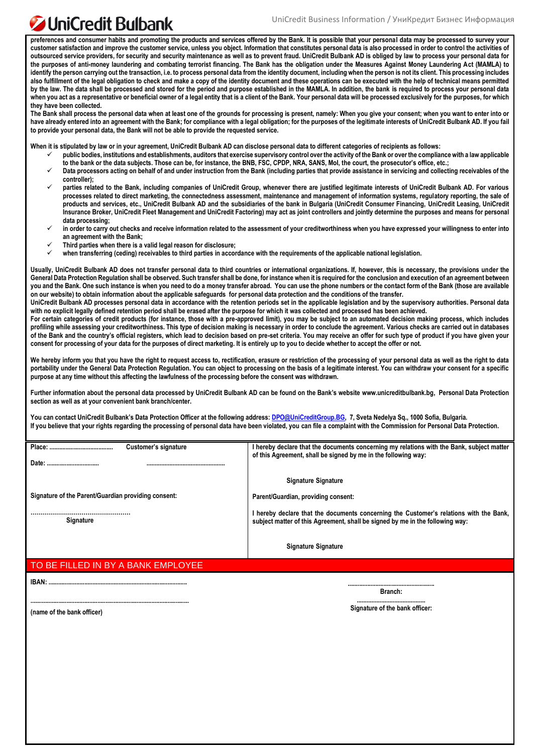## UniCredit Bulbank

**preferences and consumer habits and promoting the products and services offered by the Bank. It is possible that your personal data may be processed to survey your customer satisfaction and improve the customer service, unless you object. Information that constitutes personal data is also processed in order to control the activities of outsourced service providers, for security and security maintenance as well as to prevent fraud. UniCredit Bulbank AD is obliged by law to process your personal data for the purposes of anti-money laundering and combating terrorist financing. The Bank has the obligation under the Measures Against Money Laundering Act (MAMLA) to identify the person carrying out the transaction, i.e. to process personal data from the identity document, including when the person is not its client. This processing includes also fulfillment of the legal obligation to check and make a copy of the identity document and these operations can be executed with the help of technical means permitted by the law. The data shall be processed and stored for the period and purpose established in the MAMLA. In addition, the bank is required to process your personal data when you act as a representative or beneficial owner of a legal entity that is a client of the Bank. Your personal data will be processed exclusively for the purposes, for which they have been collected.** 

**The Bank shall process the personal data when at least one of the grounds for processing is present, namely: When you give your consent; when you want to enter into or have already entered into an agreement with the Bank; for compliance with a legal obligation; for the purposes of the legitimate interests of UniCredit Bulbank AD. If you fail to provide your personal data, the Bank will not be able to provide the requested service.**

**When it is stipulated by law or in your agreement, UniCredit Bulbank AD can disclose personal data to different categories of recipients as follows:** 

- **public bodies, institutions and establishments, auditors that exercise supervisory control over the activity of the Bank or over the compliance with a law applicable to the bank or the data subjects. Those can be, for instance, the BNB, FSC, CPDP, NRA, SANS, MoI, the court, the prosecutor's office, etc.;**
- **Data processors acting on behalf of and under instruction from the Bank (including parties that provide assistance in servicing and collecting receivables of the controller);**
- **parties related to the Bank, including companies of UniCredit Group, whenever there are justified legitimate interests of UniCredit Bulbank AD. For various processes related to direct marketing, the connectedness assessment, maintenance and management of information systems, regulatory reporting, the sale of products and services, etc., UniCredit Bulbank AD and the subsidiaries of the bank in Bulgaria (UniCredit Consumer Financing, UniCredit Leasing, UniCredit Insurance Broker, UniCredit Fleet Management and UniCredit Factoring) may act as joint controllers and jointly determine the purposes and means for personal data processing;**
- **in order to carry out checks and receive information related to the assessment of your creditworthiness when you have expressed your willingness to enter into an agreement with the Bank;**
- **Third parties when there is a valid legal reason for disclosure;**
- when transferring (ceding) receivables to third parties in accordance with the requirements of the applicable national legislation.

Usually, UniCredit Bulbank AD does not transfer personal data to third countries or international organizations. If, however, this is necessary, the provisions under the **General Data Protection Regulation shall be observed. Such transfer shall be done, for instance when it is required for the conclusion and execution of an agreement between you and the Bank. One such instance is when you need to do a money transfer abroad. You can use the phone numbers or the contact form of the Bank (those are available on our website) to obtain information about the applicable safeguards for personal data protection and the conditions of the transfer.** 

**UniCredit Bulbank AD processes personal data in accordance with the retention periods set in the applicable legislation and by the supervisory authorities. Personal data with no explicit legally defined retention period shall be erased after the purpose for which it was collected and processed has been achieved.** 

**For certain categories of credit products (for instance, those with a pre-approved limit), you may be subject to an automated decision making process, which includes profiling while assessing your creditworthiness. This type of decision making is necessary in order to conclude the agreement. Various checks are carried out in databases of the Bank and the country's official registers, which lead to decision based on pre-set criteria. You may receive an offer for such type of product if you have given your consent for processing of your data for the purposes of direct marketing. It is entirely up to you to decide whether to accept the offer or not.** 

**We hereby inform you that you have the right to request access to, rectification, erasure or restriction of the processing of your personal data as well as the right to data portability under the General Data Protection Regulation. You can object to processing on the basis of a legitimate interest. You can withdraw your consent for a specific purpose at any time without this affecting the lawfulness of the processing before the consent was withdrawn.** 

**Further information about the personal data processed by UniCredit Bulbank AD can be found on the Bank's website [www.unicreditbulbank.bg,](http://www.unicreditbulbank.bg/) Personal Data Protection section as well as at your convenient bank branch/center.**

**You can contact UniCredit Bulbank's Data Protection Officer at the following address[: DPO@UniCreditGroup.BG,](mailto:DPO@UniCreditGroup.BG) 7, Sveta Nedelya Sq., 1000 Sofia, Bulgaria. If you believe that your rights regarding the processing of personal data have been violated, you can file a complaint with the Commission for Personal Data Protection.**

| Place:<br>Customer's signature<br>Date:             | I hereby declare that the documents concerning my relations with the Bank, subject matter<br>of this Agreement, shall be signed by me in the following way:             |
|-----------------------------------------------------|-------------------------------------------------------------------------------------------------------------------------------------------------------------------------|
|                                                     |                                                                                                                                                                         |
|                                                     | <b>Signature Signature</b>                                                                                                                                              |
| Signature of the Parent/Guardian providing consent: | Parent/Guardian, providing consent:                                                                                                                                     |
| <b>Signature</b>                                    | l hereby declare that the documents concerning the Customer's relations with the Bank,<br>subject matter of this Agreement, shall be signed by me in the following way: |
|                                                     | <b>Signature Signature</b>                                                                                                                                              |

### TO BE FILLED IN BY A BANK EMPLOYEE

**.................................................................................................**

**IBAN: .....................................................................................**

**..................................................... Branch:**

**(name of the bank officer)**

**..........................................**

**Signature of the bank officer:**